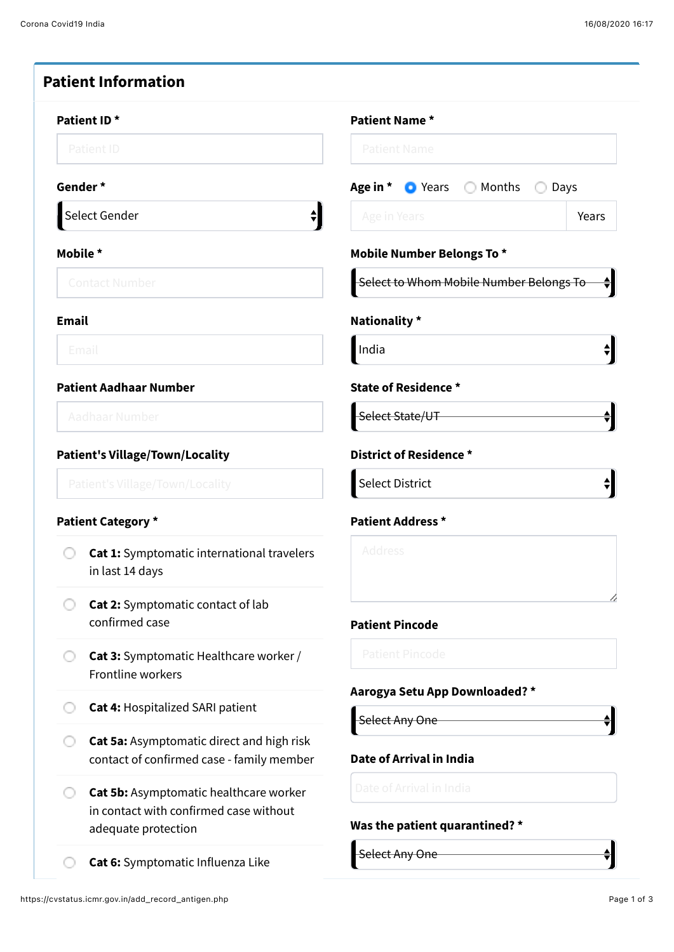| Patient ID <sup>*</sup>                     |                                                                                        | Patient Name *                                    |  |  |  |
|---------------------------------------------|----------------------------------------------------------------------------------------|---------------------------------------------------|--|--|--|
| Patient ID                                  |                                                                                        | <b>Patient Name</b>                               |  |  |  |
|                                             | Gender *                                                                               | Age in * • Years Months<br>◯ Days                 |  |  |  |
| Select Gender<br>$\overline{\blacklozenge}$ |                                                                                        | Age in Years<br>Years                             |  |  |  |
| Mobile *                                    |                                                                                        | <b>Mobile Number Belongs To *</b>                 |  |  |  |
| <b>Contact Number</b>                       |                                                                                        | Select to Whom Mobile Number Belongs To           |  |  |  |
| <b>Email</b>                                |                                                                                        | Nationality *                                     |  |  |  |
|                                             | Email                                                                                  | India                                             |  |  |  |
| <b>Patient Aadhaar Number</b>               |                                                                                        | <b>State of Residence *</b>                       |  |  |  |
| Aadhaar Number                              |                                                                                        | Select State/UT                                   |  |  |  |
| <b>Patient's Village/Town/Locality</b>      |                                                                                        | District of Residence *                           |  |  |  |
| <b>Patient's Village/Town/Locality</b>      |                                                                                        | Select District                                   |  |  |  |
|                                             | <b>Patient Category *</b>                                                              | <b>Patient Address *</b>                          |  |  |  |
|                                             | Cat 1: Symptomatic international travelers<br>in last 14 days                          | Address                                           |  |  |  |
|                                             | Cat 2: Symptomatic contact of lab<br>confirmed case                                    | <b>Patient Pincode</b>                            |  |  |  |
| O                                           | <b>Cat 3:</b> Symptomatic Healthcare worker /<br>Frontline workers                     | <b>Patient Pincode</b>                            |  |  |  |
|                                             | <b>Cat 4: Hospitalized SARI patient</b>                                                | Aarogya Setu App Downloaded? *                    |  |  |  |
|                                             | Cat 5a: Asymptomatic direct and high risk<br>contact of confirmed case - family member | Select Any One<br><b>Date of Arrival in India</b> |  |  |  |
| O                                           | Cat 5b: Asymptomatic healthcare worker                                                 | Date of Arrival in India                          |  |  |  |
|                                             | in contact with confirmed case without<br>adequate protection                          | Was the patient quarantined? *                    |  |  |  |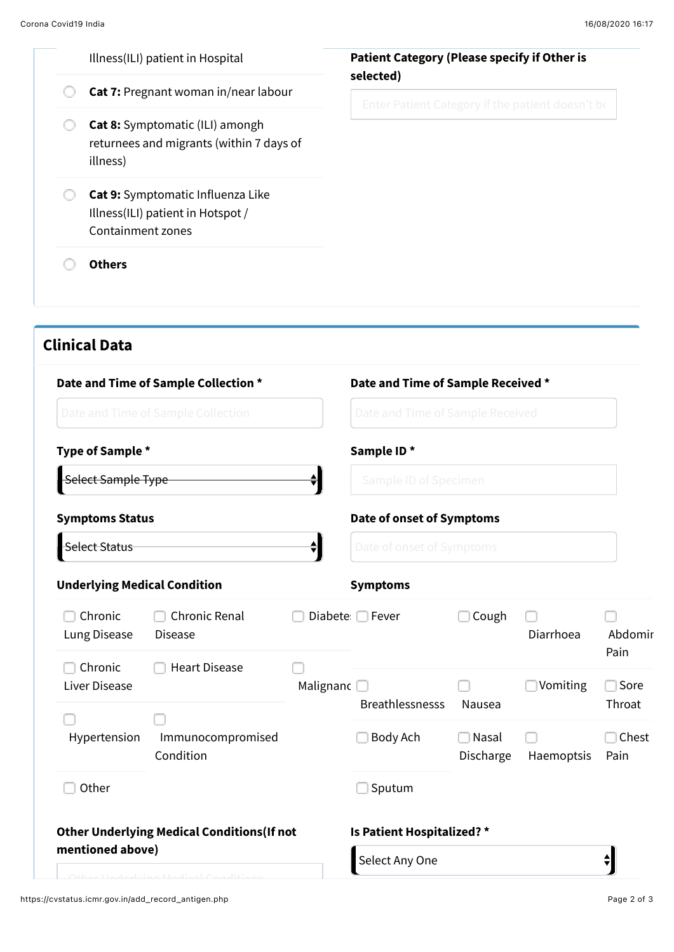|  | Illness(ILI) patient in Hospital                                                               | <b>Patient Category (Please specify if Other is</b><br>selected) |  |
|--|------------------------------------------------------------------------------------------------|------------------------------------------------------------------|--|
|  | Cat 7: Pregnant woman in/near labour                                                           | Enter Patient Category if the patient doesn't be                 |  |
|  | <b>Cat 8:</b> Symptomatic (ILI) amongh<br>returnees and migrants (within 7 days of<br>illness) |                                                                  |  |
|  | Cat 9: Symptomatic Influenza Like<br>Illness(ILI) patient in Hotspot /<br>Containment zones    |                                                                  |  |
|  | <b>Others</b>                                                                                  |                                                                  |  |
|  |                                                                                                |                                                                  |  |
|  | <b>Clinical Data</b>                                                                           |                                                                  |  |

|                                     | Date and Time of Sample Collection *               |                                                 | Date and Time of Sample Received *<br>Date and Time of Sample Received<br>Sample ID*<br>Sample ID of Specimen<br>Date of onset of Symptoms<br>Date of onset of Symptoms |                    |            |                     |
|-------------------------------------|----------------------------------------------------|-------------------------------------------------|-------------------------------------------------------------------------------------------------------------------------------------------------------------------------|--------------------|------------|---------------------|
|                                     | Date and Time of Sample Collection                 |                                                 |                                                                                                                                                                         |                    |            |                     |
| Type of Sample *                    |                                                    |                                                 |                                                                                                                                                                         |                    |            |                     |
| Select Sample Type                  |                                                    | $\stackrel{\blacktriangle}{\blacktriangledown}$ |                                                                                                                                                                         |                    |            |                     |
| <b>Symptoms Status</b>              |                                                    |                                                 |                                                                                                                                                                         |                    |            |                     |
| <b>Select Status</b>                |                                                    | $\stackrel{\blacktriangle}{\blacktriangledown}$ |                                                                                                                                                                         |                    |            |                     |
| <b>Underlying Medical Condition</b> |                                                    |                                                 | <b>Symptoms</b>                                                                                                                                                         |                    |            |                     |
| Chronic<br>Lung Disease             | <b>Chronic Renal</b><br><b>Disease</b>             |                                                 | Diabete □ Fever                                                                                                                                                         | Cough              | Diarrhoea  | Abdomir             |
| Chronic<br>Liver Disease            | <b>Heart Disease</b>                               | Malignanc                                       |                                                                                                                                                                         |                    | Vomiting   | Pain<br>$\Box$ Sore |
|                                     |                                                    |                                                 | <b>Breathlessnesss</b>                                                                                                                                                  | Nausea             |            | Throat              |
| Hypertension                        | Immunocompromised<br>Condition                     |                                                 | Body Ach                                                                                                                                                                | Nasal<br>Discharge | Haemoptsis | Chest<br>Pain       |
| Other                               |                                                    |                                                 | Sputum                                                                                                                                                                  |                    |            |                     |
|                                     | <b>Other Underlying Medical Conditions (If not</b> |                                                 | Is Patient Hospitalized? *                                                                                                                                              |                    |            |                     |
| mentioned above)                    |                                                    |                                                 | Select Any One                                                                                                                                                          |                    |            |                     |